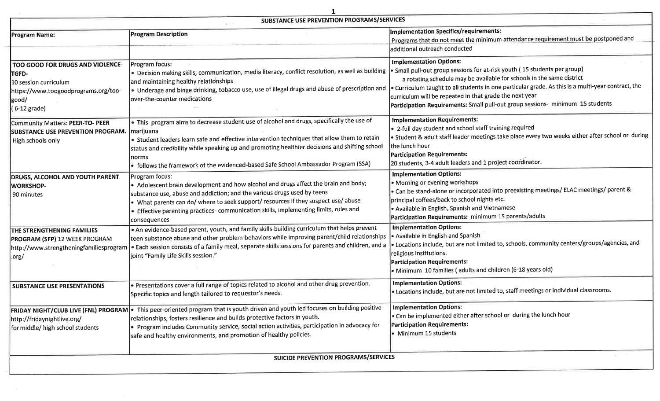| SUBSTANCE USE PREVENTION PROGRAMS/SERVICES                                                                                              |                                                                                                                                                                                                                                                                                                                                                                                                          |                                                                                                                                                                                                                                                                                                                                                                                                                                         |  |
|-----------------------------------------------------------------------------------------------------------------------------------------|----------------------------------------------------------------------------------------------------------------------------------------------------------------------------------------------------------------------------------------------------------------------------------------------------------------------------------------------------------------------------------------------------------|-----------------------------------------------------------------------------------------------------------------------------------------------------------------------------------------------------------------------------------------------------------------------------------------------------------------------------------------------------------------------------------------------------------------------------------------|--|
| <b>Program Name:</b>                                                                                                                    | <b>Program Description</b>                                                                                                                                                                                                                                                                                                                                                                               | <b>Implementation Specifics/requirements:</b><br>Programs that do not meet the minimum attendance requirement must be postponed and<br>additional outreach conducted                                                                                                                                                                                                                                                                    |  |
| TOO GOOD FOR DRUGS AND VIOLENCE-<br>TGFD-<br>10 session curriculum<br>https://www.toogoodprograms.org/too-<br> good/<br>$(6-12)$ grade) | Program focus:<br>. Decision making skills, communication, media literacy, conflict resolution, as well as building<br>and maintaining healthy relationships<br>• Underage and binge drinking, tobacco use, use of illegal drugs and abuse of prescription and<br>over-the-counter medications                                                                                                           | <b>Implementation Options:</b><br>• Small pull-out group sessions for at-risk youth (15 students per group)<br>a rotating schedule may be available for schools in the same district<br>. Curriculum taught to all students in one particular grade. As this is a multi-year contract, the<br>curriculum will be repeated in that grade the next year<br>Participation Requirements: Small pull-out group sessions- minimum 15 students |  |
| Community Matters: PEER-TO- PEER<br><b>SUBSTANCE USE PREVENTION PROGRAM.</b><br>High schools only                                       | • This program aims to decrease student use of alcohol and drugs, specifically the use of<br>marijuana<br>. Student leaders learn safe and effective intervention techniques that allow them to retain<br>status and credibility while speaking up and promoting healthier decisions and shifting school<br>norms<br>• follows the framework of the evidenced-based Safe School Ambassador Program (SSA) | <b>Implementation Requirements:</b><br>• 2-full day student and school staff training required<br>• Student & adult staff leader meetings take place every two weeks either after school or during<br>the lunch hour<br><b>Participation Requirements:</b><br>20 students, 3-4 adult leaders and 1 project coordinator.                                                                                                                 |  |
| <b>DRUGS, ALCOHOL AND YOUTH PARENT</b><br><b>WORKSHOP-</b><br>90 minutes                                                                | Program focus:<br>• Adolescent brain development and how alcohol and drugs affect the brain and body;<br>substance use, abuse and addiction; and the various drugs used by teens<br>• What parents can do/ where to seek support/ resources if they suspect use/ abuse<br>• Effective parenting practices- communication skills, implementing limits, rules and<br>consequences                          | <b>Implementation Options:</b><br>• Morning or evening workshops<br>• Can be stand-alone or incorporated into preexisting meetings/ ELAC meetings/ parent &<br>principal coffees/back to school nights etc.<br>• Available in English, Spanish and Vietnamese<br>Participation Requirements: minimum 15 parents/adults                                                                                                                  |  |
| THE STRENGTHENING FAMILIES<br>PROGRAM (SFP) 12 WEEK PROGRAM<br>http://www.strengtheningfamiliesprogram<br>org/                          | • An evidence-based parent, youth, and family skills-building curriculum that helps prevent<br>teen substance abuse and other problem behaviors while improving parent/child relationships<br><b>Each session consists of a family meal, separate skills sessions for parents and children, and a</b><br>joint "Family Life Skills session."                                                             | <b>Implementation Options:</b><br>• Available in English and Spanish<br>• Locations include, but are not limited to, schools, community centers/groups/agencies, and<br>religious institutions.<br>Participation Requirements:<br>• Minimum 10 families (adults and children (6-18 years old)                                                                                                                                           |  |
| <b>SUBSTANCE USE PRESENTATIONS</b>                                                                                                      | • Presentations cover a full range of topics related to alcohol and other drug prevention.<br>Specific topics and length tailored to requestor's needs.                                                                                                                                                                                                                                                  | <b>Implementation Options:</b><br>. Locations include, but are not limited to, staff meetings or individual classrooms.                                                                                                                                                                                                                                                                                                                 |  |
| http://fridaynightlive.org/<br>for middle/ high school students                                                                         | FRIDAY NIGHT/CLUB LIVE (FNL) PROGRAM • This peer-oriented program that is youth driven and youth led focuses on building positive<br>relationships, fosters resilience and builds protective factors in youth.<br>• Program includes Community service, social action activities, participation in advocacy for<br>safe and healthy environments, and promotion of healthy policies.                     | <b>Implementation Options:</b><br>• Can be implemented either after school or during the lunch hour<br><b>Participation Requirements:</b><br>· Minimum 15 students                                                                                                                                                                                                                                                                      |  |
| SUICIDE PREVENTION PROGRAMS/SERVICES                                                                                                    |                                                                                                                                                                                                                                                                                                                                                                                                          |                                                                                                                                                                                                                                                                                                                                                                                                                                         |  |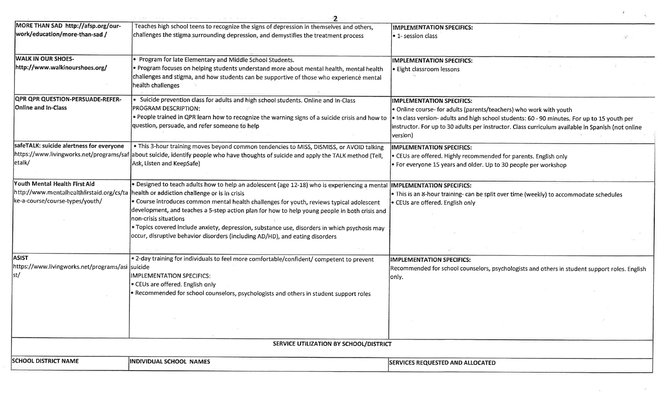| MORE THAN SAD http://afsp.org/our-               | Teaches high school teens to recognize the signs of depression in themselves and others,                                              | <b>IMPLEMENTATION SPECIFICS:</b>                                                                  |
|--------------------------------------------------|---------------------------------------------------------------------------------------------------------------------------------------|---------------------------------------------------------------------------------------------------|
| work/education/more-than-sad /                   | challenges the stigma surrounding depression, and demystifies the treatment process                                                   |                                                                                                   |
|                                                  |                                                                                                                                       | l• 1- session class                                                                               |
| <b>WALK IN OUR SHOES-</b>                        | Program for late Elementary and Middle School Students.                                                                               | <b>IMPLEMENTATION SPECIFICS:</b>                                                                  |
| http://www.walkinourshoes.org/                   | · Program focuses on helping students understand more about mental health, mental health                                              | · Eight classroom lessons                                                                         |
|                                                  | challenges and stigma, and how students can be supportive of those who experience mental                                              |                                                                                                   |
|                                                  | health challenges                                                                                                                     |                                                                                                   |
| <b>QPR QPR QUESTION-PERSUADE-REFER-</b>          | Suicide prevention class for adults and high school students. Online and In-Class                                                     | <b>IMPLEMENTATION SPECIFICS:</b>                                                                  |
| Online and In-Class                              | PROGRAM DESCRIPTION:                                                                                                                  | • Online course- for adults (parents/teachers) who work with youth                                |
|                                                  | . People trained in QPR learn how to recognize the warning signs of a suicide crisis and how to                                       | . In class version- adults and high school students: 60 - 90 minutes. For up to 15 youth per      |
|                                                  | question, persuade, and refer someone to help                                                                                         | instructor. For up to 30 adults per instructor. Class curriculum available in Spanish (not online |
|                                                  |                                                                                                                                       | version)                                                                                          |
| safeTALK: suicide alertness for everyone         | . This 3-hour training moves beyond common tendencies to MISS, DISMISS, or AVOID talking                                              | <b>IMPLEMENTATION SPECIFICS:</b>                                                                  |
|                                                  | https://www.livingworks.net/programs/saf about suicide, identify people who have thoughts of suicide and apply the TALK method (Tell, | • CEUs are offered. Highly recommended for parents. English only                                  |
| etalk/                                           | Ask, Listen and KeepSafe)                                                                                                             | • For everyone 15 years and older. Up to 30 people per workshop                                   |
| Youth Mental Health First Aid                    | · Designed to teach adults how to help an adolescent (age 12-18) who is experiencing a mental                                         | <b>IMPLEMENTATION SPECIFICS:</b>                                                                  |
|                                                  | http://www.mentalhealthfirstaid.org/cs/ta health or addiction challenge or is in crisis                                               | • This is an 8-hour training- can be split over time (weekly) to accommodate schedules            |
| ke-a-course/course-types/youth/                  | . Course introduces common mental health challenges for youth, reviews typical adolescent                                             | • CEUs are offered. English only                                                                  |
|                                                  | development, and teaches a 5-step action plan for how to help young people in both crisis and<br>Inon-crisis situations               |                                                                                                   |
|                                                  | • Topics covered include anxiety, depression, substance use, disorders in which psychosis may                                         |                                                                                                   |
|                                                  | occur, disruptive behavior disorders (including AD/HD), and eating disorders                                                          |                                                                                                   |
|                                                  |                                                                                                                                       |                                                                                                   |
| <b>ASIST</b>                                     | . 2-day training for individuals to feel more comfortable/confident/ competent to prevent                                             | <b>IMPLEMENTATION SPECIFICS:</b>                                                                  |
| https://www.livingworks.net/programs/asi suicide |                                                                                                                                       | Recommended for school counselors, psychologists and others in student support roles. English     |
| st/                                              | <b>IMPLEMENTATION SPECIFICS:</b>                                                                                                      | only.                                                                                             |
|                                                  | CEUs are offered. English only                                                                                                        |                                                                                                   |
|                                                  | • Recommended for school counselors, psychologists and others in student support roles                                                |                                                                                                   |
|                                                  |                                                                                                                                       |                                                                                                   |
|                                                  |                                                                                                                                       |                                                                                                   |
|                                                  |                                                                                                                                       |                                                                                                   |
|                                                  | SERVICE UTILIZATION BY SCHOOL/DISTRICT                                                                                                |                                                                                                   |
|                                                  |                                                                                                                                       |                                                                                                   |
| <b>SCHOOL DISTRICT NAME</b>                      | <b>INDIVIDUAL SCHOOL NAMES</b>                                                                                                        | <b>SERVICES REQUESTED AND ALLOCATED</b>                                                           |

 $\sim 100$ 

 $\sim$  100  $\sim$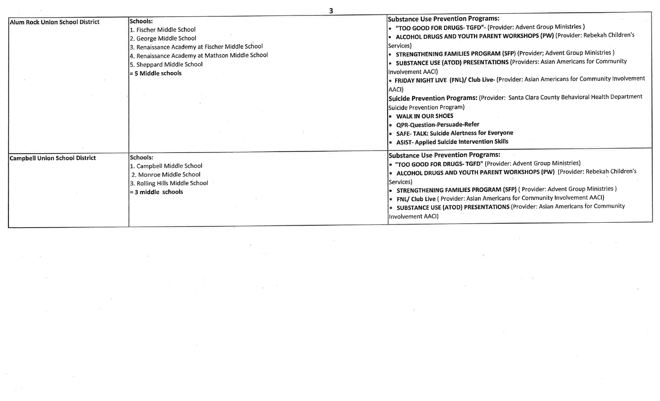| Alum Rock Union School District       | Schools:<br>1. Fischer Middle School<br>2. George Middle School<br>3. Renaissance Academy at Fischer Middle School<br>4. Renaissance Academy at Mathson Middle School<br>5. Sheppard Middle School<br>= 5 Middle schools | <b>Substance Use Prevention Programs:</b><br>"TOO GOOD FOR DRUGS-TGFD"- (Provider: Advent Group Ministries)<br>ALCOHOL DRUGS AND YOUTH PARENT WORKSHOPS (PW) (Provider: Rebekah Children's<br> Services)<br>STRENGTHENING FAMILIES PROGRAM (SFP) (Provider; Advent Group Ministries)<br>SUBSTANCE USE (ATOD) PRESENTATIONS (Providers: Asian Americans for Community<br>Involvement AACI)<br>FRIDAY NIGHT LIVE (FNL)/ Club Live- (Provider: Asian Americans for Community Involvement<br>AACI)<br>Suicide Prevention Programs: (Provider: Santa Clara County Behavioral Health Department<br>Suicide Prevention Program)<br><b>WALK IN OUR SHOES</b><br>• QPR-Question-Persuade-Refer<br>• SAFE-TALK: Suicide Alertness for Everyone<br><b>ASIST- Applied Suicide Intervention Skills</b> |
|---------------------------------------|--------------------------------------------------------------------------------------------------------------------------------------------------------------------------------------------------------------------------|-------------------------------------------------------------------------------------------------------------------------------------------------------------------------------------------------------------------------------------------------------------------------------------------------------------------------------------------------------------------------------------------------------------------------------------------------------------------------------------------------------------------------------------------------------------------------------------------------------------------------------------------------------------------------------------------------------------------------------------------------------------------------------------------|
| <b>Campbell Union School District</b> | Schools:<br>1. Campbell Middle School<br>2. Monroe Middle School<br>3. Rolling Hills Middle School<br>$=$ 3 middle schools                                                                                               | <b>Substance Use Prevention Programs:</b><br>• "TOO GOOD FOR DRUGS- TGFD" (Provider: Advent Group Ministries)<br>. ALCOHOL DRUGS AND YOUTH PARENT WORKSHOPS (PW) (Provider: Rebekah Children's<br>lServices)<br>• STRENGTHENING FAMILIES PROGRAM (SFP) (Provider: Advent Group Ministries)<br>FNL/ Club Live ( Provider: Asian Americans for Community Involvement AACI)<br>• SUBSTANCE USE (ATOD) PRESENTATIONS (Provider: Asian Americans for Community<br>Involvement AACI)                                                                                                                                                                                                                                                                                                            |

 $\mathbb{R}^n$  , and  $\mathbb{R}^n$  , and  $\mathbb{R}^n$  , and  $\mathbb{R}^n$  , and  $\mathbb{R}^n$  , and  $\mathbb{R}^n$  , and  $\mathbb{R}^n$ 

the control of the control of the control of

 $\sim 10^{11}$  m  $^{-1}$ 

 $\mathbf{M}(\mathbf{R})$  . The set of the set of  $\mathbf{R}$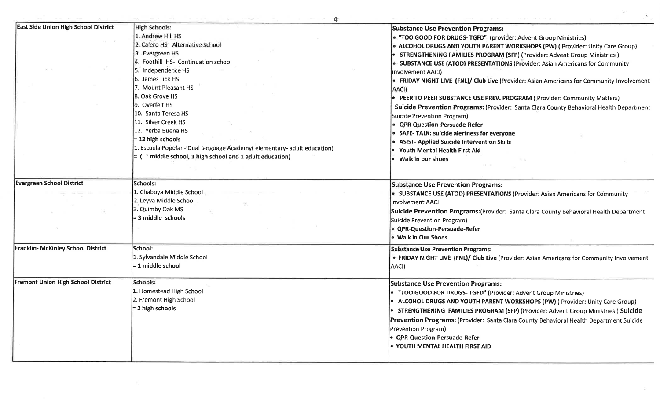| East Side Union High School District      | <b>High Schools:</b>                                                   | <b>Substance Use Prevention Programs:</b>                                                      |
|-------------------------------------------|------------------------------------------------------------------------|------------------------------------------------------------------------------------------------|
|                                           | 1. Andrew Hill HS                                                      | • "TOO GOOD FOR DRUGS- TGFD" (provider: Advent Group Ministries)                               |
|                                           | 2. Calero HS- Alternative School                                       | • ALCOHOL DRUGS AND YOUTH PARENT WORKSHOPS (PW) (Provider: Unity Care Group)                   |
|                                           | 3. Evergreen HS                                                        | • STRENGTHENING FAMILIES PROGRAM (SFP) (Provider: Advent Group Ministries)                     |
|                                           | 4. Foothill HS- Continuation school                                    | • SUBSTANCE USE (ATOD) PRESENTATIONS (Provider: Asian Americans for Community                  |
|                                           | 5. Independence HS                                                     | Involvement AACI)                                                                              |
|                                           | 6. James Lick HS                                                       | • FRIDAY NIGHT LIVE (FNL)/ Club Live (Provider: Asian Americans for Community Involvement      |
|                                           | 7. Mount Pleasant HS                                                   | AACI)                                                                                          |
|                                           | 8. Oak Grove HS                                                        | • PEER TO PEER SUBSTANCE USE PREV. PROGRAM (Provider: Community Matters)                       |
|                                           | 9. Overfelt HS                                                         | Suicide Prevention Programs: (Provider: Santa Clara County Behavioral Health Department        |
|                                           | 10. Santa Teresa HS                                                    | Suicide Prevention Program)                                                                    |
|                                           | 11. Silver Creek HS                                                    | <b>QPR-Question-Persuade-Refer</b>                                                             |
|                                           | 12. Yerba Buena HS                                                     | <b>SAFE-TALK: suicide alertness for everyone</b>                                               |
|                                           | $= 12$ high schools                                                    | <b>ASIST- Applied Suicide Intervention Skills</b>                                              |
|                                           | 1. Escuela Popular - Dual language Academy(elementary-adult education) | Youth Mental Health First Aid                                                                  |
|                                           | $= (1$ middle school, 1 high school and 1 adult education)             | Walk in our shoes                                                                              |
|                                           |                                                                        |                                                                                                |
| <b>Evergreen School District</b>          | Schools:                                                               |                                                                                                |
|                                           |                                                                        | <b>Substance Use Prevention Programs:</b>                                                      |
|                                           | 1. Chaboya Middle School<br>2. Leyva Middle School                     | "SUBSTANCE USE (ATOD) PRESENTATIONS (Provider: Asian Americans for Community                   |
|                                           | 3. Quimby Oak MS                                                       | Involvement AACI                                                                               |
|                                           | $=$ 3 middle schools                                                   | Suicide Prevention Programs: (Provider: Santa Clara County Behavioral Health Department        |
|                                           |                                                                        | <b>Suicide Prevention Program)</b>                                                             |
|                                           |                                                                        | · QPR-Question-Persuade-Refer                                                                  |
|                                           |                                                                        | <b>Walk in Our Shoes</b>                                                                       |
| Franklin- McKinley School District        | School:                                                                | <b>Substance Use Prevention Programs:</b>                                                      |
|                                           | 1. Sylvandale Middle School                                            | • FRIDAY NIGHT LIVE (FNL)/ Club Live (Provider: Asian Americans for Community Involvement      |
|                                           | = 1 middle school                                                      | AACI)                                                                                          |
| <b>Fremont Union High School District</b> | Schools:                                                               | <b>Substance Use Prevention Programs:</b>                                                      |
|                                           | 1. Homestead High School                                               | • "TOO GOOD FOR DRUGS- TGFD" (Provider: Advent Group Ministries)                               |
|                                           | 2. Fremont High School                                                 | ALCOHOL DRUGS AND YOUTH PARENT WORKSHOPS (PW) (Provider: Unity Care Group)                     |
|                                           | $= 2$ high schools                                                     | • STRENGTHENING FAMILIES PROGRAM (SFP) (Provider: Advent Group Ministries ) Suicide            |
|                                           |                                                                        |                                                                                                |
|                                           |                                                                        | <b>Prevention Programs:</b> (Provider: Santa Clara County Behavioral Health Department Suicide |
|                                           |                                                                        | Prevention Program)                                                                            |
|                                           |                                                                        | • QPR-Question-Persuade-Refer                                                                  |
|                                           |                                                                        | <b>. YOUTH MENTAL HEALTH FIRST AID</b>                                                         |

 $\mathcal{L}_{\mathcal{A}}$  . The set of  $\mathcal{L}_{\mathcal{A}}$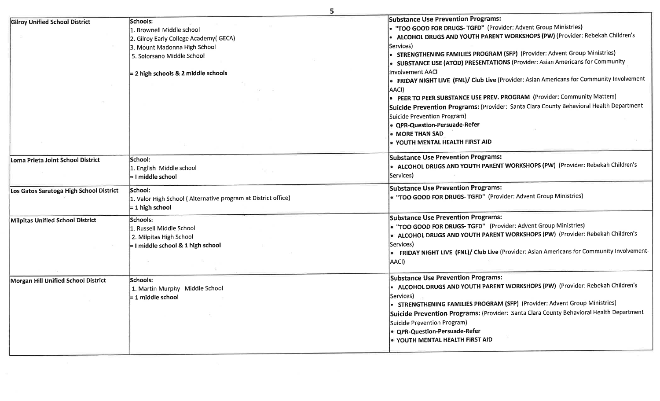|                                         | 5                                                                                                                                                                                   |                                                                                                                                                                                                                                                                                                                                                                                                                                                                                                                                                                                                                                                                                                                                                                                                        |
|-----------------------------------------|-------------------------------------------------------------------------------------------------------------------------------------------------------------------------------------|--------------------------------------------------------------------------------------------------------------------------------------------------------------------------------------------------------------------------------------------------------------------------------------------------------------------------------------------------------------------------------------------------------------------------------------------------------------------------------------------------------------------------------------------------------------------------------------------------------------------------------------------------------------------------------------------------------------------------------------------------------------------------------------------------------|
| <b>Gilroy Unified School District</b>   | Schools:<br>1. Brownell Middle school<br>2. Gilroy Early College Academy(GECA)<br>3. Mount Madonna High School<br>5. Solorsano Middle School<br>= 2 high schools & 2 middle schools | <b>Substance Use Prevention Programs:</b><br>• "TOO GOOD FOR DRUGS- TGFD" (Provider: Advent Group Ministries)<br>• ALCOHOL DRUGS AND YOUTH PARENT WORKSHOPS (PW) (Provider: Rebekah Children's<br>Services)<br>• STRENGTHENING FAMILIES PROGRAM (SFP) (Provider: Advent Group Ministries)<br>SUBSTANCE USE (ATOD) PRESENTATIONS (Provider: Asian Americans for Community<br>Involvement AACI<br><b>FRIDAY NIGHT LIVE (FNL)/ Club Live</b> (Provider: Asian Americans for Community Involvement-<br> AACI)<br>• PEER TO PEER SUBSTANCE USE PREV. PROGRAM (Provider: Community Matters)<br>Suicide Prevention Programs: (Provider: Santa Clara County Behavioral Health Department<br>Suicide Prevention Program)<br>• QPR-Question-Persuade-Refer<br>• MORE THAN SAD<br>• YOUTH MENTAL HEALTH FIRST AID |
| Loma Prieta Joint School District       | School:<br>1. English Middle school<br>= I middle school                                                                                                                            | <b>Substance Use Prevention Programs:</b><br>• ALCOHOL DRUGS AND YOUTH PARENT WORKSHOPS (PW) (Provider: Rebekah Children's<br>Services)                                                                                                                                                                                                                                                                                                                                                                                                                                                                                                                                                                                                                                                                |
| Los Gatos Saratoga High School District | School:<br>1. Valor High School (Alternative program at District office)<br>$= 1$ high school                                                                                       | <b>Substance Use Prevention Programs:</b><br>. "TOO GOOD FOR DRUGS- TGFD" (Provider: Advent Group Ministries)                                                                                                                                                                                                                                                                                                                                                                                                                                                                                                                                                                                                                                                                                          |
| Milpitas Unified School District        | Schools:<br>1. Russell Middle School<br>2. Milpitas High School<br>= I middle school & 1 high school                                                                                | <b>Substance Use Prevention Programs:</b><br>• "TOO GOOD FOR DRUGS- TGFD" (Provider: Advent Group Ministries)<br>• ALCOHOL DRUGS AND YOUTH PARENT WORKSHOPS (PW) (Provider: Rebekah Children's<br>Services)<br>. FRIDAY NIGHT LIVE (FNL)/ Club Live (Provider: Asian Americans for Community Involvement-<br>AACI)                                                                                                                                                                                                                                                                                                                                                                                                                                                                                     |
| Morgan Hill Unified School District     | lSchools:<br>1. Martin Murphy Middle School<br>$= 1$ middle school                                                                                                                  | <b>Substance Use Prevention Programs:</b><br>ALCOHOL DRUGS AND YOUTH PARENT WORKSHOPS (PW) (Provider: Rebekah Children's<br>Services)<br>STRENGTHENING FAMILIES PROGRAM (SFP) (Provider: Advent Group Ministries)<br>Suicide Prevention Programs: (Provider: Santa Clara County Behavioral Health Department<br>Suicide Prevention Program)<br>e QPR-Question-Persuade-Refer<br>• YOUTH MENTAL HEALTH FIRST AID                                                                                                                                                                                                                                                                                                                                                                                        |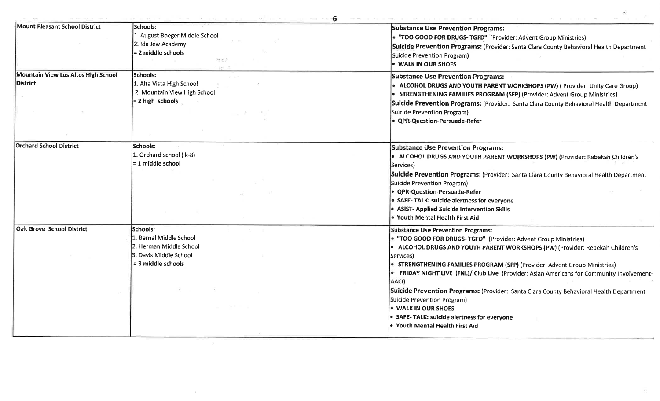$\sim 10^{-11}$ 

| 6 |  |  |
|---|--|--|
|   |  |  |
|   |  |  |

| Mount Pleasant School District      | Schools:                       | <b>Substance Use Prevention Programs:</b>                                                         |
|-------------------------------------|--------------------------------|---------------------------------------------------------------------------------------------------|
|                                     | 1. August Boeger Middle School | • "TOO GOOD FOR DRUGS- TGFD" (Provider: Advent Group Ministries)                                  |
|                                     | 2. Ida Jew Academy             | Suicide Prevention Programs: (Provider: Santa Clara County Behavioral Health Department           |
|                                     | = 2 middle schools             | Suicide Prevention Program)                                                                       |
|                                     | 부추운<br>$-242 - 111$            | . WALK IN OUR SHOES                                                                               |
| Mountain View Los Altos High School | Schools:<br>AT 100             | <b>Substance Use Prevention Programs:</b>                                                         |
| District                            | 1. Alta Vista High School      | ALCOHOL DRUGS AND YOUTH PARENT WORKSHOPS (PW) (Provider: Unity Care Group)                        |
|                                     | 2. Mountain View High School   | • STRENGTHENING FAMILIES PROGRAM (SFP) (Provider: Advent Group Ministries)                        |
|                                     | $= 2$ high schools             | Suicide Prevention Programs: (Provider: Santa Clara County Behavioral Health Department           |
|                                     |                                |                                                                                                   |
|                                     |                                | Suicide Prevention Program)                                                                       |
|                                     |                                | • QPR-Question-Persuade-Refer                                                                     |
|                                     |                                |                                                                                                   |
| <b>Orchard School District</b>      | lSchools:                      | <b>Substance Use Prevention Programs:</b>                                                         |
|                                     | 1. Orchard school (k-8)        | • ALCOHOL DRUGS AND YOUTH PARENT WORKSHOPS (PW) (Provider: Rebekah Children's                     |
|                                     | $= 1$ middle school            | Services)                                                                                         |
|                                     |                                | Suicide Prevention Programs: (Provider: Santa Clara County Behavioral Health Department           |
|                                     |                                | Suicide Prevention Program)                                                                       |
|                                     |                                | • QPR-Question-Persuade-Refer                                                                     |
|                                     |                                | • SAFE-TALK: suicide alertness for everyone                                                       |
|                                     |                                | • ASIST- Applied Suicide Intervention Skills                                                      |
|                                     |                                | . Youth Mental Health First Aid                                                                   |
| <b>Oak Grove School District</b>    | Schools:                       | <b>Substance Use Prevention Programs:</b>                                                         |
|                                     | 1. Bernal Middle School        | • "TOO GOOD FOR DRUGS- TGFD" (Provider: Advent Group Ministries)                                  |
|                                     | 2. Herman Middle School        | • ALCOHOL DRUGS AND YOUTH PARENT WORKSHOPS (PW) (Provider: Rebekah Children's                     |
|                                     | 3. Davis Middle School         | Services)                                                                                         |
|                                     | = 3 middle schools             | • STRENGTHENING FAMILIES PROGRAM (SFP) (Provider: Advent Group Ministries)                        |
|                                     |                                | <b>• FRIDAY NIGHT LIVE (FNL)/ Club Live</b> (Provider: Asian Americans for Community Involvement- |
|                                     |                                | AACI)                                                                                             |
|                                     |                                | Suicide Prevention Programs: (Provider: Santa Clara County Behavioral Health Department           |
|                                     |                                | Suicide Prevention Program)                                                                       |
|                                     |                                | . WALK IN OUR SHOES                                                                               |
|                                     |                                | • SAFE-TALK: suicide alertness for everyone                                                       |
|                                     |                                | • Youth Mental Health First Aid                                                                   |
|                                     |                                |                                                                                                   |

 $\sim$